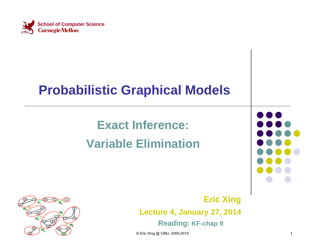

### **Probabilistic Graphical Models**

### **Exact Inference: Variable Elimination**





**Eric Xing Lecture 4, January 27, 2014 Reading: KF-chap 9**

© Eric Xing @ CMU, 2005-2014 1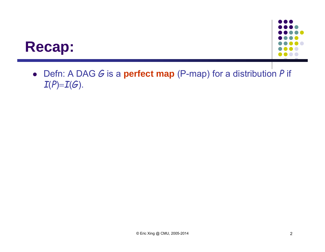



 Defn: A DAG *G* is a **perfect map** (P-map) for a distribution *P* if  $I(P)=I(G).$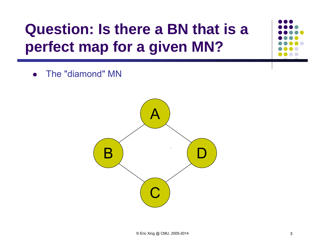### **Question: Is there a BN that is a perfect map for a given MN?**

 $\bullet$ The "diamond" MN

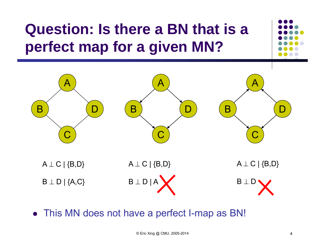# **Question: Is there a BN that is a perfect map for a given MN?**



This MN does not have a perfect I-map as BN!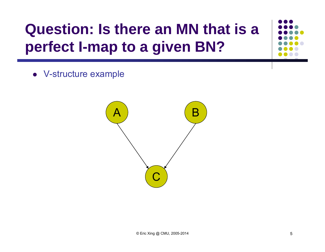## **Question: Is there an MN that is a perfect I-map to a given BN?**

V-structure example

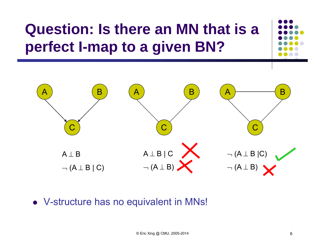## **Question: Is there an MN that is a perfect I-map to a given BN?**



V-structure has no equivalent in MNs!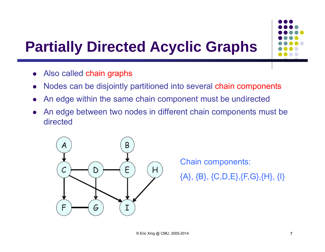### **Partially Directed Acyclic Graphs**

- $\bullet$ Also called chain graphs
- $\bullet$ Nodes can be disjointly partitioned into several chain components
- $\bullet$ An edge within the same chain component must be undirected
- $\bullet$  An edge between two nodes in different chain components must be directed



Chain components: {A}, {B}, {C,D,E},{F,G},{H}, {I}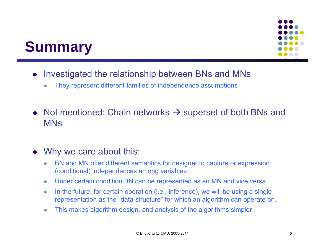### **Summary**



- $\bullet$  Investigated the relationship between BNs and MNs
	- $\bullet$ They represent different families of independence assumptions
- Not mentioned: Chain networks  $\rightarrow$  superset of both BNs and MNs

#### $\bullet$ Why we care about this:

- $\bullet$  BN and MN offer different semantics for designer to capture or expression (conditional) independences among variables
- $\bullet$ Under certain condition BN can be represented as an MN and vice versa
- $\bullet$  In the future, for certain operation (i.e., inference), we will be using a single representation as the "data structure" for which an algorithm can operate on.
- $\bullet$ This makes algorithm design, and analysis of the algorithms simpler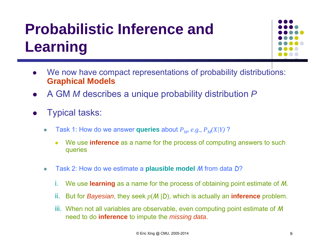## **Probabilistic Inference and Learning**



- 0 We now have compact representations of probability distributions: **Graphical Models**
- $\bullet$ A GM *M* describes a unique probability distribution *P*
- $\bullet$  Typical tasks:
	- $\bullet$ • Task 1: How do we answer queries about  $P_M$ , e.g.,  $P_M(X/Y)$ ?
		- 0 We use **inference** as a name for the process of computing answers to such queries
	- $\bullet$  Task 2: How do we estimate a **plausible model** *M* from data *D* ?
		- i.We use **learning** as a name for the process of obtaining point estimate of *M*.
		- ii.But for *Bayesian*, they seek *<sup>p</sup>*(*M* |*D*), which is actually an **inference** problem.
		- iii. When not all variables are observable, even computing point estimate of *M*  need to do **inference** to impute the *missing data*.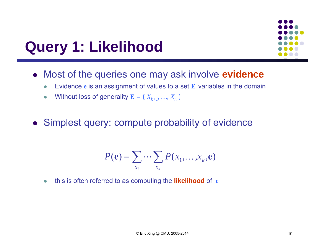### **Query 1: Likelihood**



- Most of the queries one may ask involve **evidence**
	- $\bullet$ Evidence **<sup>e</sup>** is an assignment of values to a set **E** variables in the domain
	- $\bullet$ Without loss of generality  $\mathbf{E} = \{X_{k+1}, ..., X_n\}$
- Simplest query: compute probability of evidence

$$
P(\mathbf{e}) = \sum_{x_1} \cdots \sum_{x_k} P(x_1, \ldots, x_k, \mathbf{e})
$$

 $\bullet$ this is often referred to as computing the **likelihood** of **<sup>e</sup>**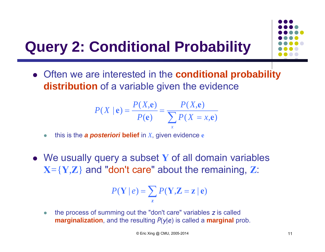### **Query 2: Conditional Probability**



$$
P(X \mid \mathbf{e}) = \frac{P(X, \mathbf{e})}{P(\mathbf{e})} = \frac{P(X, \mathbf{e})}{\sum_{x} P(X = x, \mathbf{e})}
$$

 $\bullet$ this is the *a posteriori* **belief** in *X*, given evidence **<sup>e</sup>**

 We usually query a subset **Y** of all domain variables **X***=*{**Y***,***Z**} and "don't care" about the remaining, **Z**:

$$
P(\mathbf{Y} \mid e) = \sum_{\mathbf{z}} P(\mathbf{Y}, \mathbf{Z} = \mathbf{z} \mid \mathbf{e})
$$

 $\bullet$  the process of summing out the "don't care" variables *<sup>z</sup>* is called **marginalization**, and the resulting *P*(*y*|*e*) is called a **marginal** prob.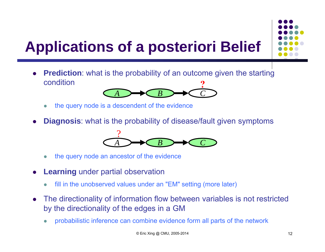## **Applications of a posteriori Belief**

- **?**0 **Prediction**: what is the probability of an outcome given the starting condition
	- $\bullet$ the query node is a descendent of the evidence

*A*

0 **Diagnosis**: what is the probability of disease/fault given symptoms



*B*  $\rightarrow$  *C C* 

- $\bullet$ the query node an ancestor of the evidence
- 0 **Learning** under partial observation
	- $\bullet$ fill in the unobserved values under an "EM" setting (more later)
- $\bullet$  The directionality of information flow between variables is not restricted by the directionality of the edges in a GM
	- $\bullet$ probabilistic inference can combine evidence form all parts of the network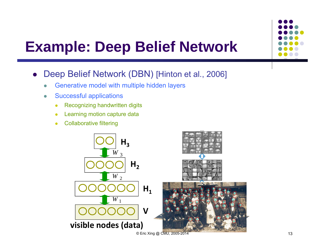### **Example: Deep Belief Network**

- $\bullet$  Deep Belief Network (DBN) [Hinton et al., 2006]
	- $\bullet$ Generative model with multiple hidden layers
	- $\bullet$  Successful applications
		- $\bullet$ Recognizing handwritten digits
		- $\bullet$ Learning motion capture data
		- $\bullet$ Collaborative filtering

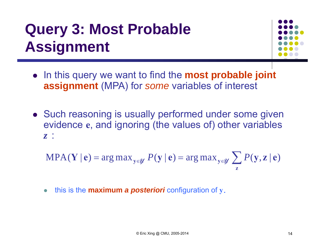### **Query 3: Most Probable Assignment**



- In this query we want to find the **most probable joint assignment** (MPA) for *some* variables of interest
- Such reasoning is usually performed under some given evidence **<sup>e</sup>**, and ignoring (the values of) other variables *z* :

$$
\text{MPA}(\mathbf{Y} \mid \mathbf{e}) = \arg \max_{\mathbf{y} \in \mathcal{Y}} P(\mathbf{y} \mid \mathbf{e}) = \arg \max_{\mathbf{y} \in \mathcal{Y}} \sum_{\mathbf{z}} P(\mathbf{y}, \mathbf{z} \mid \mathbf{e})
$$

 $\bullet$ this is the **maximum** *a posteriori* configuration of **y***.*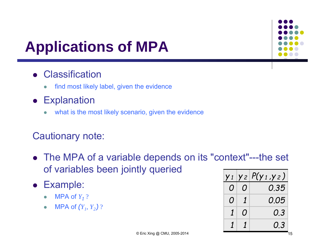## **Applications of MPA**

### **• Classification**

- $\bullet$ find most likely label, given the evidence
- **•** Explanation
	- $\bullet$ what is the most likely scenario, given the evidence

### Cautionary note:

- The MPA of a variable depends on its "context"---the set of variables been jointly queried
- Example:
	- $\bullet$ • MPA of  $Y_1$  ?
	- $\bullet$ • MPA of  $(Y_1, Y_2)$  ?

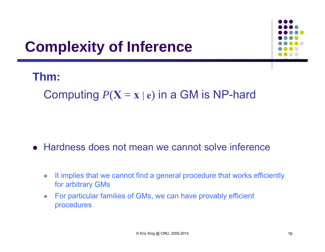### **Complexity of Inference**



### **Thm:**

Computing  $P(X = x | e)$  in a GM is NP-hard

### Hardness does not mean we cannot solve inference

- $\bullet$  It implies that we cannot find a general procedure that works efficiently for arbitrary GMs
- $\bullet$  For particular families of GMs, we can have provably efficient procedures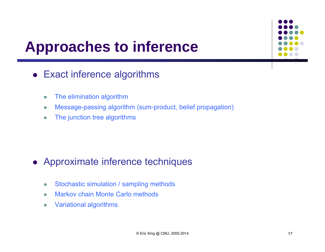### **Approaches to inference**

### Exact inference algorithms

- $\bullet$ The elimination algorithm
- $\bullet$ Message-passing algorithm (sum-product, belief propagation)
- $\bullet$ The junction tree algorithms

### Approximate inference techniques

- $\bullet$ Stochastic simulation / sampling methods
- $\bullet$ Markov chain Monte Carlo methods
- $\bullet$ Variational algorithms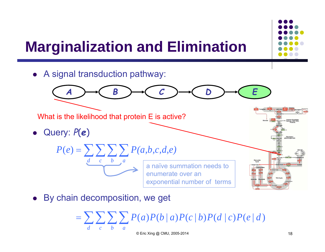### **Marginalization and Elimination**



By chain decomposition, we get

 $\bullet$ 

 $\sum\sum\sum\sum$  $P(A \mid c)P(b \mid a)P(c \mid b)P(d \mid c)P(e \mid d)$ *dcba*

exponential number of terms

 $© Eric Xing @ CMU, 2005-2014$  18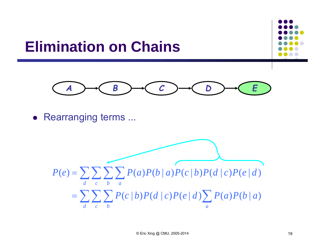### **Elimination on Chains**





• Rearranging terms ...

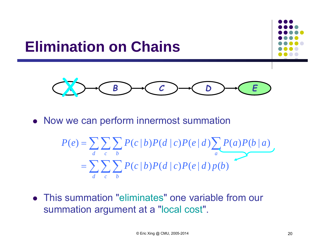

$$
P(e) = \sum_{d} \sum_{c} \sum_{b} P(c | b) P(d | c) P(e | d) \sum_{a} P(a) P(b | a)
$$
  
= 
$$
\sum_{d} \sum_{c} \sum_{b} P(c | b) P(d | c) P(e | d) p(b)
$$

 This summation "eliminates" one variable from our summation argument at a "local cost".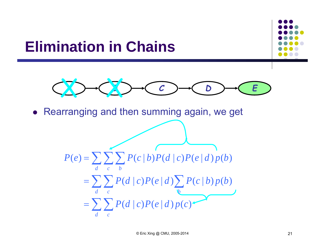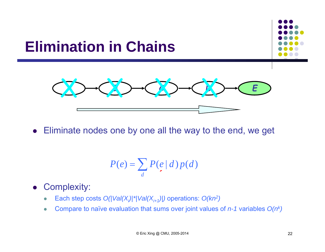

Eliminate nodes one by one all the way to the end, we get

$$
P(e) = \sum_{d} P(e | d) p(d)
$$

- $\bullet$  Complexity:
	- $\bullet$ Each step costs  $O(|Val(X_i)|^*|Val(X_{i+1})|)$  operations:  $O(kn^2)$
	- $\bullet$ Compare to naïve evaluation that sums over joint values of *n-1* variables *O(nk)*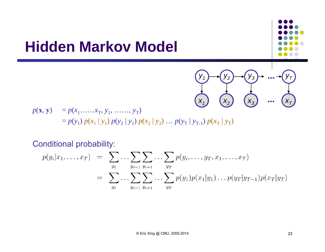### **Hidden Markov Model**

 $p(\mathbf{x}, \mathbf{y}) = p(x_1, \dots, x_T, y_1, \dots, y_T)$  $= p(y_1) p(x_1 | y_1) p(y_2 | y_1) p(x_2 | y_2) ... p(y_T | y_{T-1}) p(x_T | y_T)$ ( $x_2$ )

Conditional probability:

$$
p(y_i|x_1,\ldots,x_T) = \sum_{y_1} \ldots \sum_{y_{i-1}} \sum_{y_{i+1}} \ldots \sum_{y_T} p(y_i,\ldots,y_T,x_1,\ldots,x_T)
$$
  
= 
$$
\sum_{y_1} \ldots \sum_{y_{i-1}} \sum_{y_{i+1}} \ldots \sum_{y_T} p(y_1)p(x_1|y_1)\ldots p(y_T|y_{T-1})p(x_T|y_T)
$$

 $X_1$ 

*y1*

*y2*

*x***A***3*

*y3 ...* 

*...* 

*x***<sub>***T***</sub>** 

 ${\mathsf y}_{\mathsf T}$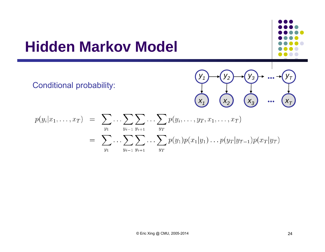### **Hidden Markov Model**

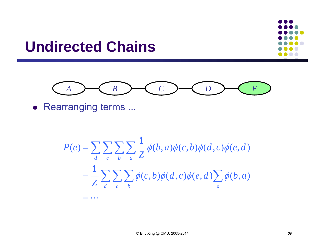

$$
P(e) = \sum_{d} \sum_{c} \sum_{b} \sum_{a} \frac{1}{Z} \phi(b, a) \phi(c, b) \phi(d, c) \phi(e, d)
$$
  
= 
$$
\frac{1}{Z} \sum_{d} \sum_{c} \sum_{b} \phi(c, b) \phi(d, c) \phi(e, d) \sum_{a} \phi(b, a)
$$

 $= \cdots$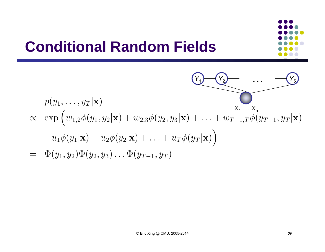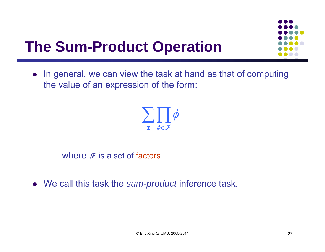

### **The Sum-Product Operation**

• In general, we can view the task at hand as that of computing the value of an expression of the form:



where  $\mathscr F$  is a set of factors

We call this task the *sum-product* inference task.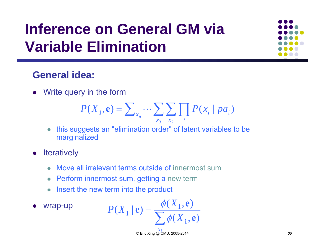### **Inference on General GM via Variable Elimination**

### **General idea:**

Write query in the form

$$
P(X_1, \mathbf{e}) = \sum_{x_n} \cdots \sum_{x_3} \sum_{x_2} \prod_i P(x_i \mid pa_i)
$$

- $\bullet$  this suggests an "elimination order" of latent variables to be marginalized
- $\bullet$ **Iteratively** 
	- Move all irrelevant terms outside of innermost sum
	- Perform innermost sum, getting a new term
	- Insert the new term into the product
- $\bullet$ wrap-up

$$
P(X_1 | \mathbf{e}) = \frac{\phi(X_1, \mathbf{e})}{\sum \phi(X_1, \mathbf{e})}
$$

 $\frac{x_1}{x_2}$  ◎ Eric Xing *@* CMU, 2005-2014 28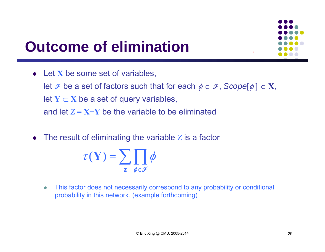

### **Outcome of elimination**

- Let X be some set of variables, let  $\mathcal F$  be a set of factors such that for each  $\phi \in \mathcal F,$  Scope[ $\phi$ ]  $\in$  X, I let  $\mathbf{Y} \subset \mathbf{X}$  be a set of query variables, and let *Z* **= X−Y** be the variable to be eliminated
- The result of eliminating the variable *Z* is a factor

$$
\tau(\mathbf{Y}) = \sum_{\mathbf{z}} \prod_{\phi \in \mathcal{F}} \phi
$$

 $\bullet$  This factor does not necessarily correspond to any probability or conditional probability in this network. (example forthcoming)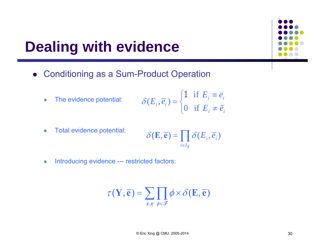### **Dealing with evidence**

 $\bullet$ 

- Conditioning as a Sum-Product Operation
	- The evidence potential:  $\overline{\mathcal{L}}$  $\big\{$  $\sqrt{ }$  $=\begin{cases} \textbf{1} & \text{if } E_i \equiv \end{cases}$ *i i*  $i - i$  $i^{(i)}$  <sup>*i*</sup>  $\neq$  *i E*<sub>*i*</sub>  $\neq$  *e*<sup>*i*</sup>  $E_i$ <sup>,  $\overline{e}_i$ ) =  $\begin{cases} 1 & \text{if } E_i \equiv \overline{e} \\ 0 & \text{if } E_i \neq \overline{e} \end{cases}$ </sup>  $(E_i, \overline{e}_i) = \begin{cases} 1 & \text{if} \\ 0 & \text{if} \end{cases}$  $\delta(E_i,\overline{e}_i) = \begin{cases} 1 \end{cases}$
	- $\bullet$  Total evidence potential:  $\prod_{i\in I_{\mathbf{r}}}$  $\delta(\mathbf{E}, \overline{\mathbf{e}}) = \mathbf{e} \cdot \delta(E_i, \overline{e}_i)$  $i \in I_{\mathbf{E}}$
	- $\bullet$ Introducing evidence --- restricted factors:

$$
\tau(\mathbf{Y}, \overline{\mathbf{e}}) = \sum_{\mathbf{z}, \mathbf{e}} \prod_{\phi \in \mathcal{F}} \phi \times \delta(\mathbf{E}, \overline{\mathbf{e}})
$$

 $\neq$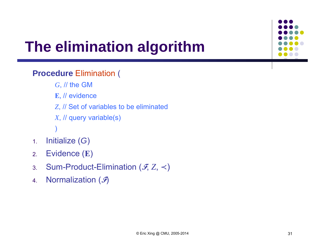## **The elimination algorithm**

#### **Procedure** Elimination (

- *G*, // the GM
- **E**, // evidence
- *Z*, // Set of variables to be eliminated
- *<sup>X</sup>*, // query variable(s)
- )
- 1.. Initialize (G)
- 2.Evidence ( **E** )
- 3.Sum-Product-Elimination ( **F**, *Z*, <sup>≺</sup> )
- 4.. Normalization (*5*)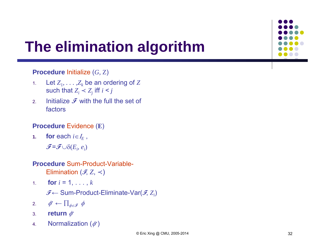## **The elimination algorithm**

#### **Procedure** Initialize (*G*, Z)

- 1.. Let  $Z_1, \ldots, Z_k$  be an ordering of  $Z$ such that  $Z_i$  <  $Z_j$  iff  $i$  <  $j$
- 2.Initialize  $\mathcal F$  with the full the set of factors

#### **Procedure** Evidence (**E**)

**1.for** each  $i \in I_E$ ,

 $\widetilde{\mathcal{F}}$  =  $\widetilde{\mathcal{F}}$   $\cup$   $\delta$   $(E_i, e_i)$ 

### **Procedure** Sum-Product-Variable-

Elimination  $(\mathscr{F}\!,Z,\prec)$ 

1.. **for**  $i = 1, \ldots, k$ 

**F** <sup>←</sup> Sum-Product-Eliminate-Var( **F**, *Zi*)

- 2. $\phi^*$  ←  $\prod_{\phi \in \mathcal{F}} \phi$
- 3.. **return** ∲\*
- 4.Normalization  $(\phi^*)$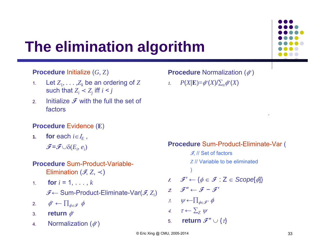## **The elimination algorithm**

#### **Procedure** Initialize (*G*, Z)

- 1.. Let  $Z_1, \ldots, Z_k$  be an ordering of  $Z$ such that  $Z_i$  <  $Z_j$  iff  $i$  <  $j$
- 2.Initialize  $\mathcal F$  with the full the set of factors

#### **Procedure** Evidence (**E**)

- **1.for** each  $i \in I_E$ ,
	- $\widetilde{\mathcal{F}}$  =  $\widetilde{\mathcal{F}}$   $\cup$   $\delta$   $(E_i, e_i)$

#### **Procedure** Sum-Product-Variable-Elimination  $(\mathscr{F}\!,Z,\prec)$

- 1.. **for**  $i = 1, \ldots, k$ 
	- **F** <sup>←</sup> Sum-Product-Eliminate-Var( **F**, *Zi*)
- 2. $\phi^*$  ←  $\prod_{\phi \in \mathcal{F}} \phi$
- 3.. **return** ∲\*
- 4.Normalization  $(\phi^*)$

#### **Procedure** Normalization ( $ϕ$ <sup>\*</sup>)

*1.*  $P(X|{\bf{E}})=\phi^*(X)/\sum_{x}\phi^*(X)$ 

#### **Procedure** Sum-Product-Eliminate-Var (

**F**, // Set of factors *Z* // Variable to be eliminated ) 1.  $\mathcal{F}' \leftarrow \{\phi \in \mathcal{F}: \mathsf{Z} \in \mathsf{Scope}[\phi]\}$  $2.$  **F**  $\mathcal{F}$   $\leftarrow$  **F**  $\mathcal{F}$ 3.  $\psi \leftarrow \prod_{\phi \in \mathcal{F}} \phi$ 4.  $\tau \leftarrow \sum_{Z} \psi$ 5. $\boldsymbol{\mathcal{F}}^{\boldsymbol{\prime\prime}}\cup\{\tau\}$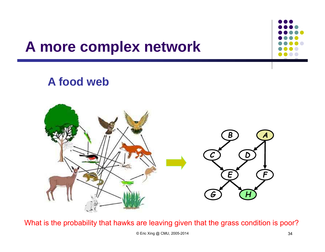### **A more complex network**

### **A food web**



What is the probability that hawks are leaving given that the grass condition is poor?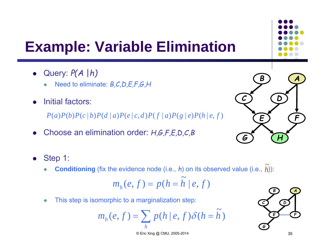- Query: *P(A* |*h)*
	- $\bullet$ Need to eliminate: *B,C,D,E,F,G,H*
- 0 Initial factors:

 $P(a)P(b)P(c|b)P(d|a)P(e|c,d)P(f|a)P(g|e)P(h|e,f)$ 

- 0 Choose an elimination order: *H,G,F,E,D,C,B*
- $\bullet$  Step 1:
	- $\bullet$ **Conditioning** (fix the evidence node (i.e.,  $h$ ) on its observed value (i.e.,  $h$ )):  $\widetilde{\phantom{a}}$

$$
m_h(e, f) = p(h = \widetilde{h} \mid e, f)
$$

 $\bullet$ This step is isomorphic to a marginalization step:

$$
m_h(e, f) = \sum_h p(h \mid e, f) \delta(h = \tilde{h})
$$





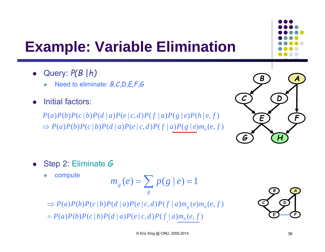- Query: *P(B* |*h)*
	- $\bullet$ Need to eliminate: *B,C,D,E,F,G*
- 0 Initial factors:

 $\Rightarrow P(a)P(b)P(c | b)P(d | a)P(e | c, d)P(f | a)P(g | e) m<sub>h</sub>(e, f)$  $P(a)P(b)P(c | b)P(d | a)P(e | c, d)P(f | a)P(g | e)P(h | e, f)$ 



- 0 Step 2: Eliminate *G*
	- $\bullet$ compute

$$
m_g(e) = \sum_g p(g \mid e) = 1
$$

 $= P(a)P(b)P(c | b)P(d | a)P(e | c, d)P(f | a)m<sub>h</sub>(e, f)$  $\Rightarrow P(a)P(b)P(c | b)P(d | a)P(e | c, d)P(f | a)m_{g}(e)m_{h}(e, f))$ 

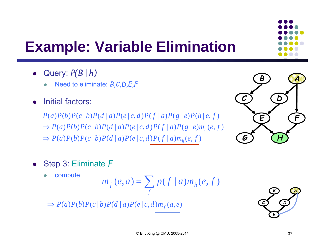- Query: *P(B* |*h)*
	- $\bullet$ Need to eliminate: *B,C,D,E,F*
- 0 Initial factors:

 $\Rightarrow P(a)P(b)P(c | b)P(d | a)P(e | c, d)P(f | a)m<sub>h</sub>(e, f)$  $\Rightarrow P(a)P(b)P(c | b)P(d | a)P(e | c, d)P(f | a)P(g | e) m<sub>h</sub>(e, f)$  $P(a)P(b)P(c | b)P(d | a)P(e | c, d)P(f | a)P(g | e)P(h | e, f)$ 



- 0 Step 3: Eliminate *F*
	- $\bullet$ compute

$$
m_f(e,a) = \sum_f p(f \mid a) m_h(e,f)
$$

 $\Rightarrow$   $P(a)P(b)P(c|b)P(d|a)P(e|c,d)m<sub>f</sub>(a,e)$ 

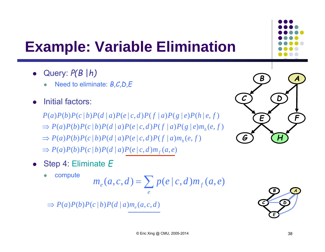- Query: *P(B* |*h)*
	- $\bullet$ Need to eliminate: *B,C,D,E*
- 0 Initial factors:

 $\Rightarrow$   $P(a)P(b)P(c | b)P(d | a)P(e | c, d)m<sub>f</sub>(a, e)$  $\Rightarrow P(a)P(b)P(c | b)P(d | a)P(e | c, d)P(f | a)m<sub>h</sub>(e, f)$  $\Rightarrow P(a)P(b)P(c | b)P(d | a)P(e | c, d)P(f | a)P(g | e) m<sub>h</sub>(e, f)$  $P(a)P(b)P(c | b)P(d | a)P(e | c, d)P(f | a)P(g | e)P(h | e, f)$ 

- 0 Step 4: Eliminate *E*
	- $\bullet$ compute

$$
m_e(a,c,d) = \sum_e p(e \mid c,d) m_f(a,e)
$$

 $\Rightarrow$   $P(a)P(b)P(c|b)P(d|a)m_{e}(a,c,d)$ 



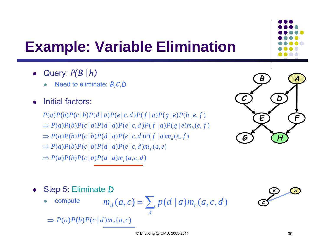- Query: *P(B* |*h)*
	- $\bullet$ Need to eliminate: *B,C,D*
- 0 Initial factors:
	- $P(a)P(b)P(c | b)P(d | a)P(e | c, d)P(f | a)P(g | e)P(h | e, f)$
	- $\Rightarrow P(a)P(b)P(c | b)P(d | a)P(e | c, d)P(f | a)P(g | e) m<sub>h</sub>(e, f)$
	- $\Rightarrow P(a)P(b)P(c | b)P(d | a)P(e | c, d)P(f | a)m<sub>h</sub>(e, f)$
	- $\Rightarrow$   $P(a)P(b)P(c | b)P(d | a)P(e | c, d)m<sub>f</sub>(a, e)$

 $\Rightarrow$   $P(a)P(b)P(c | b)P(d | a)m_e(a, c, d)$ 





- 0 Step 5: Eliminate *D*
	- $\bullet$ compute

$$
m_d(a,c) = \sum_d p(d \mid a) m_e(a,c,d)
$$



 $\Rightarrow$   $P(a)P(b)P(c|d) m_d(a,c)$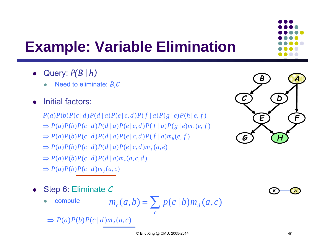- Query: *P(B* |*h)*
	- $\bullet$ Need to eliminate: *B,C*
- 0 Initial factors:
	- $P(a)P(b)P(c|d)P(d|a)P(e|c,d)P(f|a)P(g|e)P(h|e,f)$
	- $\Rightarrow P(a)P(b)P(c|d)P(d|a)P(e|c,d)P(f|a)P(g|e)m<sub>h</sub>(e,f)$
	- $\Rightarrow P(a)P(b)P(c|d)P(d|a)P(e|c,d)P(f|a)m_{h}(e,f)$
	- $\Rightarrow$   $P(a)P(b)P(c|d)P(d|a)P(e|c,d)m_f(a,e)$
	- $\Rightarrow$   $P(a)P(b)P(c | d)P(d | a)m_e(a, c, d)$
	- $\Rightarrow$   $P(a)P(b)P(c | d) m_d(a, c)$
- $\bullet$  Step 6: Eliminate *C*
	- $\bullet$ compute

$$
m_c(a,b) = \sum p(c \mid b) m_d(a,c)
$$

 $\Rightarrow$   $P(a)P(b)P(c|d) m_d(a,c)$ 

*c*



*BA*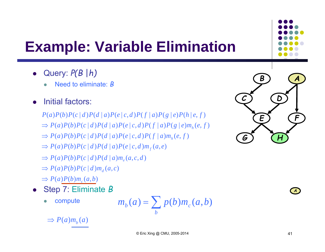- Query: *P(B* |*h)*
	- $\bullet$ Need to eliminate: *B*
- 0 Initial factors:
	- $P(a)P(b)P(c|d)P(d|a)P(e|c,d)P(f|a)P(g|e)P(h|e,f)$
	- $\Rightarrow P(a)P(b)P(c|d)P(d|a)P(e|c,d)P(f|a)P(g|e)m<sub>h</sub>(e,f)$
	- $\Rightarrow P(a)P(b)P(c|d)P(d|a)P(e|c,d)P(f|a)m_{h}(e,f)$
	- $\Rightarrow$   $P(a)P(b)P(c|d)P(d|a)P(e|c,d)m_f(a,e)$
	- $\Rightarrow$   $P(a)P(b)P(c|d)P(d|a)m_e(a,c,d)$
	- $\Rightarrow$   $P(a)P(b)P(c | d) m_d(a, c)$
	- $\Rightarrow P(a)P(b)m_c(a,b)$
- Step 7: Eliminate *B*
	- $\bullet$ compute

$$
m_b(a) = \sum_b p(b) m_c(a, b)
$$

 $\Rightarrow$  *P*(*a*)*m*<sub>*b*</sub>(*a*)



*A*

<sup>©</sup> Eric Xing @ CMU, 2005-2014 41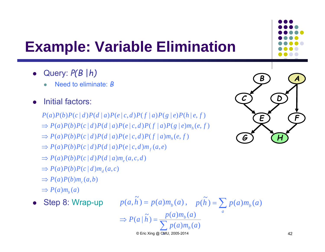- Query: *P(B* |*h)*
	- $\bullet$ Need to eliminate: *B*
- 0 Initial factors:

 $P(a)P(b)P(c|d)P(d|a)P(e|c,d)P(f|a)P(g|e)P(h|e,f)$ 

- $\Rightarrow P(a)P(b)P(c|d)P(d|a)P(e|c,d)P(f|a)P(g|e)m<sub>h</sub>(e,f)$
- $\Rightarrow P(a)P(b)P(c|d)P(d|a)P(e|c,d)P(f|a)m<sub>h</sub>(e,f)$
- $\Rightarrow$   $P(a)P(b)P(c|d)P(d|a)P(e|c,d)m_{f}(a,e)$
- $\Rightarrow$   $P(a)P(b)P(c | d)P(d | a)m_e(a, c, d)$
- $\Rightarrow$   $P(a)P(b)P(c | d) m_d(a, c)$
- $\Rightarrow P(a)P(b)m_c(a,b)$
- $\Rightarrow$   $P(a)m_b(a)$
- $\bullet$ Step 8: Wrap-up

 $p(a,\tilde{h}) = p(a)m_b(a)$ ,  $p(\tilde{h}) =$  $p(\widetilde{h}) = \sum p(a)m_b(a)$ *a*





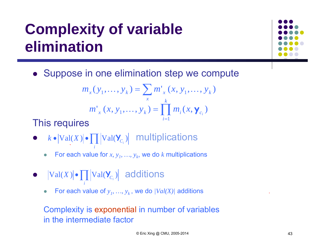## **Complexity of variable elimination**



Suppose in one elimination step we compute

$$
m_x(y_1, ..., y_k) = \sum_{x} m'_x(x, y_1, ..., y_k)
$$

$$
m'_x(x, y_1, ..., y_k) = \prod_{i=1}^k m_i(x, \mathbf{y}_{c_i})
$$

This requires

- $k \cdot |\mathrm{Val}(X)| \cdot \prod |\mathrm{Val}(\mathbf{Y}_{C_i})|$  multiplications *i* $k \bullet |\mathrm{Val}(X)| \bullet \prod |\mathrm{Val}(\mathbf{Y}_{C_i})|$ 
	- $\bullet$ For each value for  $x, y_1, ..., y_k$ , we do  $k$  multiplications
- $\bullet$   $|Val(X)| \bullet \prod |Val(\mathbf{Y}_{C_i})|$  additions

*i*

 $\bullet$ • For each value of  $y_1, ..., y_k$ , we do  $|Val(X)|$  additions

Complexity is exponential in number of variables in the intermediate factor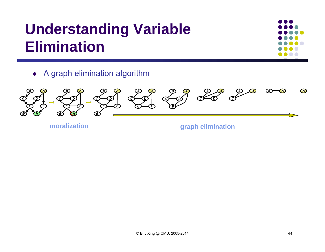### **Understanding Variable Elimination**



A graph elimination algorithm



**moralization**

**graph elimination**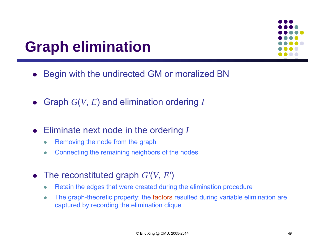### **Graph elimination**



- $\bullet$ Begin with the undirected GM or moralized BN
- Graph *G* ( *V*, *<sup>E</sup>*) and elimination ordering *I*
- $\bullet$  Eliminate next node in the ordering *I*
	- $\bullet$ Removing the node from the graph
	- $\bullet$ Connecting the remaining neighbors of the nodes
- The reconstituted graph *G'* ( *V*, *E'* )
	- $\bullet$ Retain the edges that were created during the elimination procedure
	- $\bullet$  The graph-theoretic property: the factors resulted during variable elimination are captured by recording the elimination clique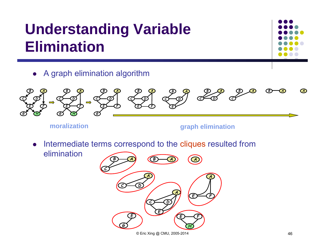### **Understanding Variable Elimination**



A graph elimination algorithm



**moralization**

**graph elimination**

- $\bullet$  Intermediate terms correspond to the cliques resulted from elimination
	- *E F HAE F B ACEGAC DEAC DB A A*© Eric Xing @ CMU, 2005-2014 46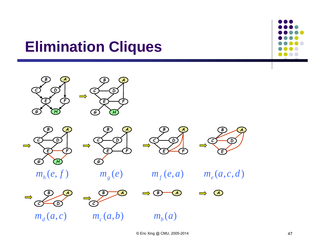### **Elimination Cliques**

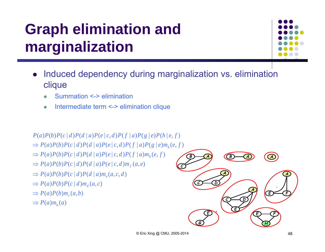## **Graph elimination and marginalization**



- $\bullet$  Induced dependency during marginalization vs. elimination clique
	- $\bullet$ Summation <-> elimination
	- $\bullet$ Intermediate term <-> elimination clique

#### $P(a)P(b)P(c|d)P(d|a)P(e|c,d)P(f|a)P(g|e)P(h|e,f)$

- $\Rightarrow P(a)P(b)P(c|d)P(d|a)P(e|c,d)P(f|a)P(g|e)m<sub>h</sub>(e,f)$
- $\Rightarrow P(a)P(b)P(c|d)P(d|a)P(e|c,d)P(f|a)m<sub>h</sub>(e,f)$
- $\Rightarrow P(a)P(b)P(c|d)P(d|a)P(e|c,d)m_{f}(a,e)$
- $\Rightarrow P(a)P(b)P(c | d)P(d | a)m_e(a, c, d)$
- $\Rightarrow P(a)P(b)P(c | d) m_d(a, c)$
- $\Rightarrow P(a)P(b)m_c(a,b)$
- $\Rightarrow P(a)m_b(a)$

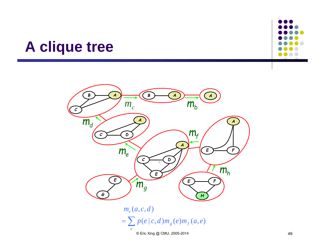### **A clique tree**





 $m_e(a,c,d)$ 

 $=\sum p(e|c,d)m_{g}(e)m_{f}(a,e)$ *e*

© Eric Xing @ CMU, 2005-2014 49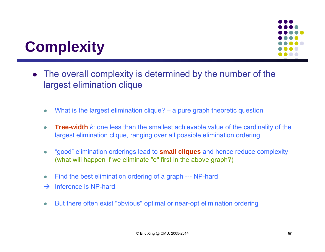

### **Complexity**

- $\bullet$  The overall complexity is determined by the number of the largest elimination clique
	- $\bullet$ What is the largest elimination clique? – a pure graph theoretic question
	- $\bullet$  **Tree-width** *k*: one less than the smallest achievable value of the cardinality of the largest elimination clique, ranging over all possible elimination ordering
	- $\bullet$  "good" elimination orderings lead to **small cliques** and hence reduce complexity (what will happen if we eliminate "e" first in the above graph?)
	- $\bullet$ Find the best elimination ordering of a graph --- NP-hard
	- $\rightarrow$ Inference is NP-hard
	- $\bullet$ But there often exist "obvious" optimal or near-opt elimination ordering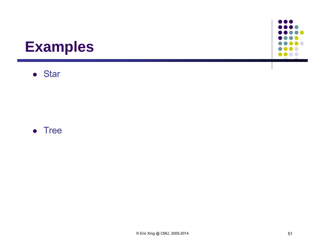### **Examples**





 $\bullet$   $\bullet$ 

 $\bullet\bullet\bullet$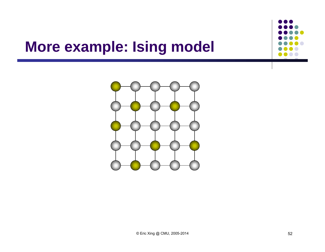### **More example: Ising model**

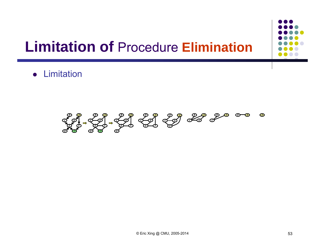### **Limitation of** Procedure **Elimination**

**•** Limitation

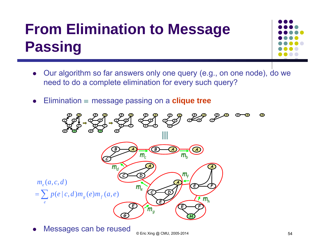### **From Elimination to Message Passing**



- $\bullet$  Our algorithm so far answers only one query (e.g., on one node), do we need to do a complete elimination for every such query?
- $\bullet$ Elimination  $\equiv$  message passing on a **clique tree**



0 Messages can be reused

 $© Eric Xing @ CMU, 2005-2014$  54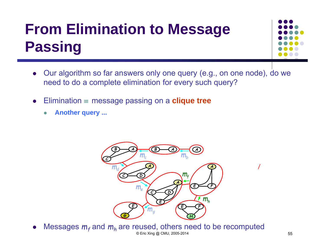### **From Elimination to Message Passing**



- $\bullet$  Our algorithm so far answers only one query (e.g., on one node), do we need to do a complete elimination for every such query?
- $\bullet$ Elimination  $\equiv$  message passing on a **clique tree** 
	- $\bullet$ **Another query ...**



0 Messages  $m_f$  and  $m_h$  are reused, others need to be recomputed © Eric Xing @ CMU, 2005-2014 55